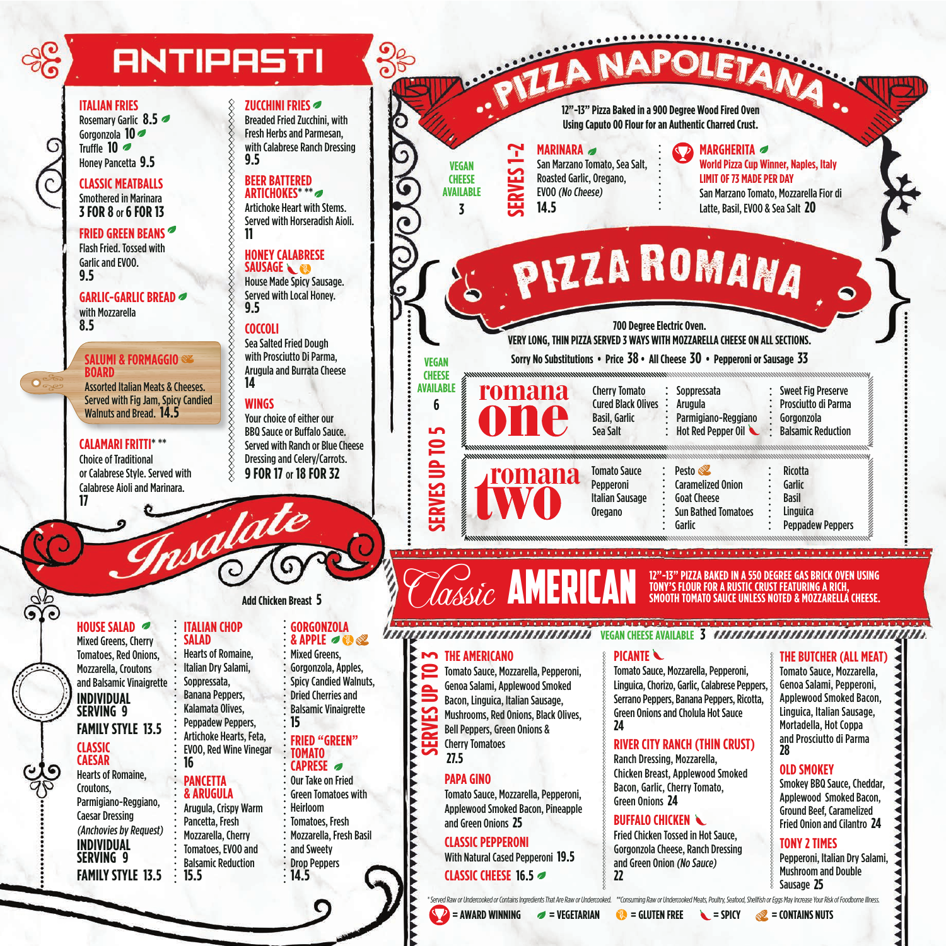# **ANTIPASTI**

#### **ITALIAN FRIES**

Rosemary Garlic **8.5** Gorgonzola **10** Truffle **10** Honey Pancetta **9.5**

**CLASSIC MEATBALLS** Smothered in Marinara **3 FOR 8** or **6 FOR 13**

**FRIED GREEN BEANS** Flash Fried. Tossed with Garlic and EVOO. **9.5**

**GARLIC-GARLIC BREAD** with Mozzarella **8.5**

#### **SALUMI & FORMAGGIO BOARD**

Assorted Italian Meats & Cheeses. Served with Fig Jam, Spicy Candied Walnuts and Bread. **14.5**

**CALAMARI FRITTI**\* \*\* Choice of Traditional or Calabrese Style. Served with Calabrese Aioli and Marinara.

#### **ZUCCHINI FRIES**

Breaded Fried Zucchini, with Fresh Herbs and Parmesan, with Calabrese Ranch Dressing **9.5**

#### **BEER BATTERED ARTICHOKES**\* \*\*

Artichoke Heart with Stems. Served with Horseradish Aioli. **11**

### **HONEY CALABRESE**

**SAUSAGE** House Made Spicy Sausage. Served with Local Honey. **9.5**

#### **COCCOLI**

Sea Salted Fried Dough with Prosciutto Di Parma, Arugula and Burrata Cheese **14**

#### **WINGS**

**SSSSSSSSSS** 

salate

Your choice of either our BBQ Sauce or Buffalo Sauce. Served with Ranch or Blue Cheese Dressing and Celery/Carrots. **9 FOR 17** or **18 FOR 32**

**12"-13" Pizza Baked in a 900 Degree Wood Fired Oven** 

**Using Caputo 00 Flour for an Authentic Charred Crust.**

# **MARINARA**

San Marzano Tomato, Sea Salt, Roasted Garlic, Oregano, EVOO (No Cheese) **14.5**

#### **MARGHERITA World Pizza Cup Winner, Naples, Italy LIMIT OF 73 MADE PER DAY**  San Marzano Tomato, Mozzarella Fior di

Latte, Basil, EVOO & Sea Salt **20**

# PIZZA ROMANA

Cherry Tomato

**700 Degree Electric Oven. VERY LONG, THIN PIZZA SERVED 3 WAYS WITH MOZZARELLA CHEESE ON ALL SECTIONS.** 

**Sorry No Substitutions • Price 38 • All Cheese 30 • Pepperoni or Sausage 33**

**Soppressata** 

#### Tomato Sauce Pepperoni Italian Sausage Oregano Pesto Caramelized Onion Goat Cheese Sun Bathed Tomatoes Cured Black Olives : Basil, Garlic Sea Salt Arugula Parmigiano-Reggiano Hot Red Pepper Oil

| ٠<br>٠<br>Garlic<br>٠<br>٠ |  |         |
|----------------------------|--|---------|
|                            |  | Ricotta |
|                            |  |         |
|                            |  |         |
|                            |  | Basil   |
|                            |  |         |

**Linguica** 

Peppadew Peppers

Sweet Fig Preserve Prosciutto di Parma Gorgonzola Balsamic Reduction

# **12"-13" PIZZA BAKED IN A 550 DEGREE GAS BRICK OVEN USING**

### **HOUSE SALAD**

**17**

 $\overline{\mathbf{O}}$ 

Mixed Greens, Cherry Tomatoes, Red Onions, Mozzarella, Croutons and Balsamic Vinaigrette **INDIVIDUAL SERVING 9 FAMILY STYLE 13.5**

## **CLASSIC CAESAR**

Hearts of Romaine, Croutons, Parmigiano-Reggiano, Caesar Dressing (Anchovies by Request) **INDIVIDUAL SERVING 9 FAMILY STYLE 13.5**

### **Add Chicken Breast 5**

### **ITALIAN CHOP**

**SALAD** Hearts of Romaine, Italian Dry Salami, Soppressata, Banana Peppers, Kalamata Olives, Peppadew Peppers, Artichoke Hearts, Feta, EVOO, Red Wine Vinegar

# **PANCETTA**

**16**

**15.5**

**& ARUGULA** Arugula, Crispy Warm Pancetta, Fresh Mozzarella, Cherry Tomatoes, EVOO and Balsamic Reduction

Mozzarella, Fresh Basil **14.5**

# **GORGONZOLA**

#### **& APPLE** Mixed Greens,

- Gorgonzola, Apples, Spicy Candied Walnuts, Dried Cherries and Balsamic Vinaigrette
- **15 FRIED "GREEN"**

#### **TOMATO CAPRESE**

- Our Take on Fried Green Tomatoes with Heirloom Tomatoes, Fresh
- Drop Peppers

- 
- 

- 
- and Sweety

# VEGELE CHEESE AVAILABLE CHEESE AVAILABLE 3 VEGELE CHEESE AVAILABLE 3 V*EGELE CHEESE AVAILABLE 2009 AS CHEESE AVAILABLE 3 VEGELE CHEESE AVAILABLE 3 VEGELE CHEESE AVAILABLE 2009 AS CHEESE AVAILABLE 3 VEGELE CHEESE AVAILABLE*

### **PICANTE**

Tomato Sauce, Mozzarella, Pepperoni, Linguica, Chorizo, Garlic, Calabrese Peppers, Serrano Peppers, Banana Peppers, Ricotta, Green Onions and Cholula Hot Sauce **24**

#### **RIVER CITY RANCH (THIN CRUST)**

Ranch Dressing, Mozzarella, Chicken Breast, Applewood Smoked Bacon, Garlic, Cherry Tomato, Green Onions **24**

### **BUFFALO CHICKEN**

Fried Chicken Tossed in Hot Sauce, Gorgonzola Cheese, Ranch Dressing and Green Onion (No Sauce) **22**

**THE BUTCHER (ALL MEAT)** Tomato Sauce, Mozzarella, Genoa Salami, Pepperoni, Applewood Smoked Bacon, Linguica, Italian Sausage, Mortadella, Hot Coppa and Prosciutto di Parma

Applewood Smoked Bacon, Ground Beef, Caramelized Fried Onion and Cilantro **24**

### **TONY 2 TIMES**

Pepperoni, Italian Dry Salami, Mushroom and Double Sausage **25**

\* Served Raw or Undercooked or Contains Ingredients That Are Raw or Undercooked. \*\*Consuming Raw or Undercooked Meats, Poultry, Seafood, Shellfish or Eggs May Increase Your Risk of Foodborne Illness.

**= AWARD WINNING = VEGETARIAN = GLUTEN FREE = SPICY = CONTAINS NUTS**

**SERVES UP TO 3 THE AMERICANO** Tomato Sauce, Mozzarella, Pepperoni, Genoa Salami, Applewood Smoked Bacon, Linguica, Italian Sausage, Mushrooms, Red Onions, Black Olives, Bell Peppers, Green Onions & Cherry Tomatoes **27.5 PAPA GINO** Tomato Sauce, Mozzarella, Pepperoni, Applewood Smoked Bacon, Pineapple and Green Onions **25**

**SERVES UP TO 5**

**ERVES UP TO** 

ட்

**VEGAN CHEESE AVAILABLE 6**

### **CLASSIC PEPPERONI**

With Natural Cased Pepperoni **19.5 CLASSIC CHEESE 16.5**

**SERVES 1-2**

**VEGAN CHEESE AVAILABLE 3**

Garlic

**TONY'S FLOUR FOR A RUSTIC CRUST FEATURING A RICH, SMOOTH TOMATO SAUCE UNLESS NOTED & MOZZARELLA CHEESE.** 

**28 OLD SMOKEY**

Smokey BBQ Sauce, Cheddar,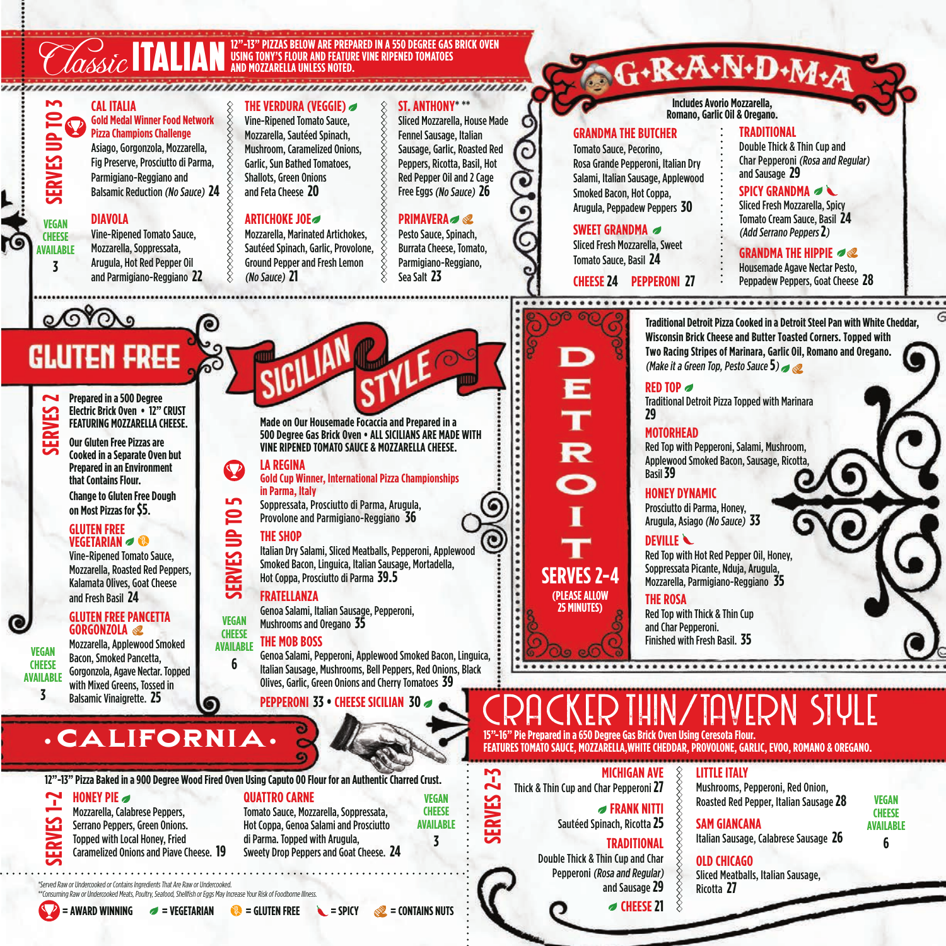#### **12"-13" PIZZAS BELOW ARE PREPARED IN A 550 DEGREE GAS BRICK OVEN<br>
TALIAN USING TONY'S FLOUR AND FEATURE VINE RIPENED TOMATOES<br>

STATISTICS OF THE CRIPPING CONTACT CONTACT CONTACT CONTACT CONTACT CONTACT CONTACT CONTACT CO CAL ITALIA THE VERDURA (VEGGIE) ST. ANTHONY**\* \*\* **SERVES UP TO 3 Gold Medal Winner Food Network**  Sliced Mozzarella, House Made Vine-Ripened Tomato Sauce, **Pizza Champions Challenge**  Fennel Sausage, Italian Mozzarella, Sautéed Spinach, Asiago, Gorgonzola, Mozzarella, Mushroom, Caramelized Onions, Sausage, Garlic, Roasted Red Fig Preserve, Prosciutto di Parma, Garlic, Sun Bathed Tomatoes, Peppers, Ricotta, Basil, Hot Parmigiano-Reggiano and Shallots, Green Onions Red Pepper Oil and 2 Cage and Feta Cheese **20** Free Eggs (No Sauce) **26** Balsamic Reduction (No Sauce) **24 ARTICHOKE JOE PRIMAVERA DIAVOLA VEGAN**  Vine-Ripened Tomato Sauce, Mozzarella, Marinated Artichokes, Pesto Sauce, Spinach, **CHEESE**  Mozzarella, Soppressata, Sautéed Spinach, Garlic, Provolone, Burrata Cheese, Tomato, **AVAILABLE** Arugula, Hot Red Pepper Oil Ground Pepper and Fresh Lemon Parmigiano-Reggiano, **3** and Parmigiano-Reggiano **22** (No Sauce) **21** Sea Salt **23**  $0.010a$ Gluten Free **Prepared in a 500 Degree SERVES Electric Brick Oven • 12" CRUST Made on Our Housemade Focaccia and Prepared in a FEATURING MOZZARELLA CHEESE. 500 Degree Gas Brick Oven • ALL SICILIANS ARE MADE WITH Our Gluten Free Pizzas are VINE RIPENED TOMATO SAUCE & MOZZARELLA CHEESE. Cooked in a Separate Oven but LA REGINA Prepared in an Environment Gold Cup Winner, International Pizza Championships that Contains Flour. in Parma, Italy Change to Gluten Free Dough SERVES UP TO 5** Soppressata, Prosciutto di Parma, Arugula, 6 **on Most Pizzas for \$5. SERVES UP TO** Provolone and Parmigiano-Reggiano **36 GLUTEN FREE THE SHOP VEGETARIAN** Italian Dry Salami, Sliced Meatballs, Pepperoni, Applewood Vine-Ripened Tomato Sauce, Smoked Bacon, Linguica, Italian Sausage, Mortadella, Mozzarella, Roasted Red Peppers, Hot Coppa, Prosciutto di Parma **39.5** Kalamata Olives, Goat Cheese and Fresh Basil **24 FRATELLANZA** Genoa Salami, Italian Sausage, Pepperoni, **GLUTEN FREE PANCETTA VEGAN**  Mushrooms and Oregano **35 GORGONZOLA CHEESE THE MOB BOSS** Mozzarella, Applewood Smoked **AVAILABLE VEGAN**  Genoa Salami, Pepperoni, Applewood Smoked Bacon, Linguica, Bacon, Smoked Pancetta, **6**

**CHEESE AVAILABLE 3**

Gorgonzola, Agave Nectar. Topped with Mixed Greens, Tossed in Balsamic Vinaigrette. **25**

Italian Sausage, Mushrooms, Bell Peppers, Red Onions, Black Olives, Garlic, Green Onions and Cherry Tomatoes **39**

**PEPPERONI 33 • CHEESE SICILIAN 30**



**12"-13" Pizza Baked in a 900 Degree Wood Fired Oven Using Caputo 00 Flour for an Authentic Charred Crust.**

#### **HONEY PIE**

Mozzarella, Calabrese Peppers, Serrano Peppers, Green Onions. Topped with Local Honey, Fried **SERVES** 

Caramelized Onions and Piave Cheese. **19**

**QUATTRO CARNE** Tomato Sauce, Mozzarella, Soppressata, Hot Coppa, Genoa Salami and Prosciutto di Parma. Topped with Arugula,

Sweety Drop Peppers and Goat Cheese. **24**

\*Served Raw or Undercooked or Contains Ingredients That Are Raw or Undercooked. \*\*Consuming Raw or Undercooked Meats, Poultry, Seafood, Shellfish or Eggs May Increase Your Risk of Foodborne Illnes.



**= AWARD WINNING = VEGETARIAN = GLUTEN FREE = SPICY = CONTAINS NUTS**

# G.R.A.N.D.M.A

**Includes Avorio Mozzarella, Romano, Garlic Oil & Oregano.** 

#### **GRANDMA THE BUTCHER**

#### Tomato Sauce, Pecorino, Rosa Grande Pepperoni, Italian Dry Salami, Italian Sausage, Applewood Smoked Bacon, Hot Coppa, Arugula, Peppadew Peppers **30**

**SWEET GRANDMA**

Sliced Fresh Mozzarella, Sweet Tomato Sauce, Basil **24**

**CHEESE 24 PEPPERONI 27**

#### **TRADITIONAL** Double Thick & Thin Cup and Char Pepperoni (Rosa and Regular) and Sausage **29**

**SPICY GRANDMA** 

Sliced Fresh Mozzarella, Spicy Tomato Cream Sauce, Basil **24**  (Add Serrano Peppers **2**)

**GRANDMA THE HIPPIE**

Housemade Agave Nectar Pesto, Peppadew Peppers, Goat Cheese **28**

**Traditional Detroit Pizza Cooked in a Detroit Steel Pan with White Cheddar, Wisconsin Brick Cheese and Butter Toasted Corners. Topped with**

**Two Racing Stripes of Marinara, Garlic Oil, Romano and Oregano.** (Make it a Green Top, Pesto Sauce **5**) **RED TOP** Traditional Detroit Pizza Topped with Marinara **29 MOTORHEAD** Red Top with Pepperoni, Salami, Mushroom, Applewood Smoked Bacon, Sausage, Ricotta, Basil **39 HONEY DYNAMIC** Prosciutto di Parma, Honey, Arugula, Asiago (No Sauce) **33 DEVILLE**

Red Top with Hot Red Pepper Oil, Honey, Soppressata Picante, Nduja, Arugula, Mozzarella, Parmigiano-Reggiano **35**

**THE ROSA** Red Top with Thick & Thin Cup and Char Pepperoni. Finished with Fresh Basil. **35**

# CRACKER THIN/TAVERN STULE **15"-16" Pie Prepared in a 650 Degree Gas Brick Oven Using Ceresota Flour.**

**FEATURES TOMATO SAUCE, MOZZARELLA,WHITE CHEDDAR, PROVOLONE, GARLIC, EVOO, ROMANO & OREGANO.**

**MICHIGAN AVE** Thick & Thin Cup and Char Pepperoni **27**

**SERVES 2-4 (PLEASE ALLOW 25 MINUTES)**

**SERVES 2-3**

**VEGAN CHEESE AVAILABLE 3**

**FRANK NITTI**

Sautéed Spinach, Ricotta **25**

### **TRADITIONAL**

Double Thick & Thin Cup and Char Pepperoni (Rosa and Regular) and Sausage **29**

**⊘ CHEESE 21** 

**LITTLE ITALY** Mushrooms, Pepperoni, Red Onion, Roasted Red Pepper, Italian Sausage **28** 



#### **SAM GIANCANA** Italian Sausage, Calabrese Sausage **26**

**OLD CHICAGO** Sliced Meatballs, Italian Sausage, Ricotta **27**